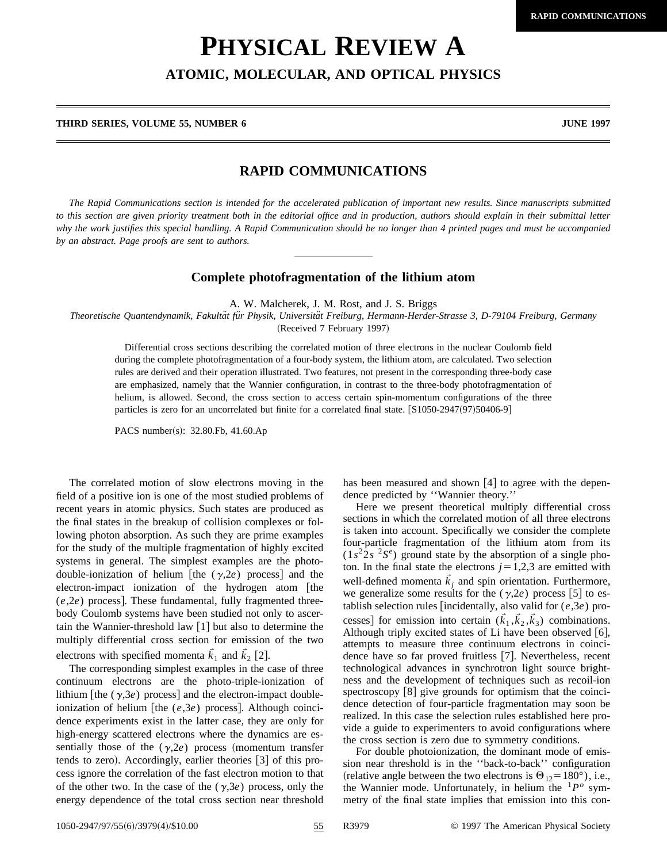## **PHYSICAL REVIEW A**

**ATOMIC, MOLECULAR, AND OPTICAL PHYSICS**

**THIRD SERIES, VOLUME 55, NUMBER 6 JUNE 1997**

## **RAPID COMMUNICATIONS**

*The Rapid Communications section is intended for the accelerated publication of important new results. Since manuscripts submitted to this section are given priority treatment both in the editorial office and in production, authors should explain in their submittal letter why the work justifies this special handling. A Rapid Communication should be no longer than 4 printed pages and must be accompanied by an abstract. Page proofs are sent to authors.*

## **Complete photofragmentation of the lithium atom**

A. W. Malcherek, J. M. Rost, and J. S. Briggs

*Theoretische Quantendynamik, Fakulta¨t fu¨r Physik, Universita¨t Freiburg, Hermann-Herder-Strasse 3, D-79104 Freiburg, Germany* (Received 7 February 1997)

Differential cross sections describing the correlated motion of three electrons in the nuclear Coulomb field during the complete photofragmentation of a four-body system, the lithium atom, are calculated. Two selection rules are derived and their operation illustrated. Two features, not present in the corresponding three-body case are emphasized, namely that the Wannier configuration, in contrast to the three-body photofragmentation of helium, is allowed. Second, the cross section to access certain spin-momentum configurations of the three particles is zero for an uncorrelated but finite for a correlated final state. [S1050-2947(97)50406-9]

PACS number(s): 32.80.Fb, 41.60.Ap

The correlated motion of slow electrons moving in the field of a positive ion is one of the most studied problems of recent years in atomic physics. Such states are produced as the final states in the breakup of collision complexes or following photon absorption. As such they are prime examples for the study of the multiple fragmentation of highly excited systems in general. The simplest examples are the photodouble-ionization of helium [the  $(\gamma, 2e)$  process] and the electron-impact ionization of the hydrogen atom [the  $(e, 2e)$  process]. These fundamental, fully fragmented threebody Coulomb systems have been studied not only to ascertain the Wannier-threshold law  $\lceil 1 \rceil$  but also to determine the multiply differential cross section for emission of the two electrons with specified momenta  $\vec{k}_1$  and  $\vec{k}_2$  [2].

The corresponding simplest examples in the case of three continuum electrons are the photo-triple-ionization of lithium [the  $(\gamma,3e)$  process] and the electron-impact doubleionization of helium [the (*e*,3*e*) process]. Although coincidence experiments exist in the latter case, they are only for high-energy scattered electrons where the dynamics are essentially those of the  $(\gamma,2e)$  process (momentum transfer tends to zero). Accordingly, earlier theories  $[3]$  of this process ignore the correlation of the fast electron motion to that of the other two. In the case of the  $(\gamma,3e)$  process, only the energy dependence of the total cross section near threshold has been measured and shown  $[4]$  to agree with the dependence predicted by ''Wannier theory.''

Here we present theoretical multiply differential cross sections in which the correlated motion of all three electrons is taken into account. Specifically we consider the complete four-particle fragmentation of the lithium atom from its  $(1s^{2}2s^{2}S^e)$  ground state by the absorption of a single photon. In the final state the electrons  $j=1,2,3$  are emitted with well-defined momenta  $\vec{k}_j$  and spin orientation. Furthermore, we generalize some results for the  $(\gamma, 2e)$  process [5] to establish selection rules [incidentally, also valid for  $(e,3e)$  processes] for emission into certain  $(\vec{k}_1, \vec{k}_2, \vec{k}_3)$  combinations. Although triply excited states of Li have been observed  $[6]$ , attempts to measure three continuum electrons in coincidence have so far proved fruitless [7]. Nevertheless, recent technological advances in synchrotron light source brightness and the development of techniques such as recoil-ion spectroscopy  $\lbrack 8 \rbrack$  give grounds for optimism that the coincidence detection of four-particle fragmentation may soon be realized. In this case the selection rules established here provide a guide to experimenters to avoid configurations where the cross section is zero due to symmetry conditions.

For double photoionization, the dominant mode of emission near threshold is in the ''back-to-back'' configuration (relative angle between the two electrons is  $\Theta_{12}$ =180°), i.e., the Wannier mode. Unfortunately, in helium the  ${}^{1}P^{o}$  symmetry of the final state implies that emission into this con-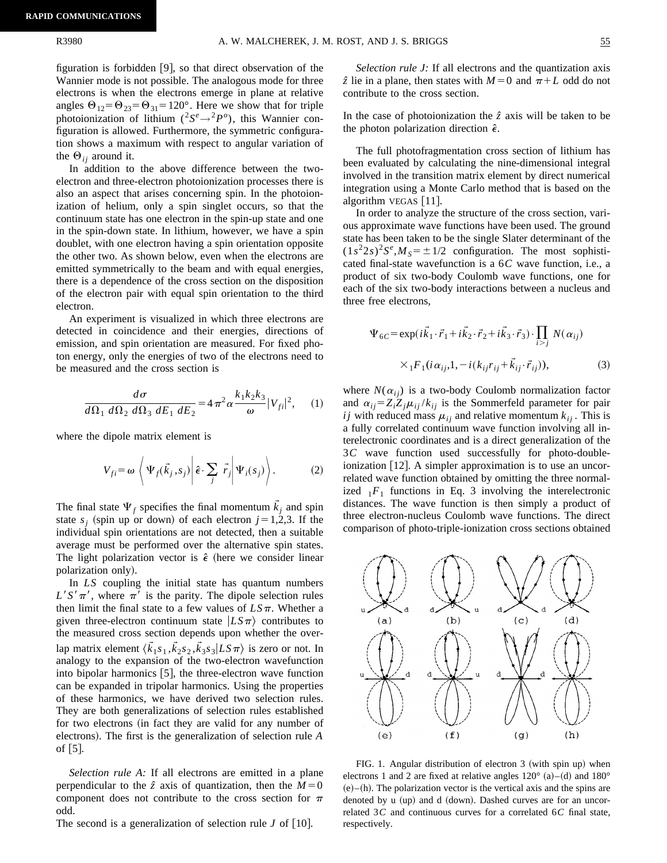figuration is forbidden  $|9|$ , so that direct observation of the Wannier mode is not possible. The analogous mode for three electrons is when the electrons emerge in plane at relative angles  $\Theta_{12} = \Theta_{23} = \Theta_{31} = 120^\circ$ . Here we show that for triple photoionization of lithium ( ${}^{2}S^{e} \rightarrow {}^{2}P^{o}$ ), this Wannier configuration is allowed. Furthermore, the symmetric configuration shows a maximum with respect to angular variation of the  $\Theta_{ij}$  around it.

In addition to the above difference between the twoelectron and three-electron photoionization processes there is also an aspect that arises concerning spin. In the photoionization of helium, only a spin singlet occurs, so that the continuum state has one electron in the spin-up state and one in the spin-down state. In lithium, however, we have a spin doublet, with one electron having a spin orientation opposite the other two. As shown below, even when the electrons are emitted symmetrically to the beam and with equal energies, there is a dependence of the cross section on the disposition of the electron pair with equal spin orientation to the third electron.

An experiment is visualized in which three electrons are detected in coincidence and their energies, directions of emission, and spin orientation are measured. For fixed photon energy, only the energies of two of the electrons need to be measured and the cross section is

$$
\frac{d\sigma}{d\Omega_1 \, d\Omega_2 \, d\Omega_3 \, dE_1 \, dE_2} = 4 \pi^2 \alpha \frac{k_1 k_2 k_3}{\omega} |V_{fi}|^2, \quad (1)
$$

where the dipole matrix element is

$$
V_{fi} = \omega \left\langle \Psi_f(\vec{k}_j, s_j) \middle| \hat{\boldsymbol{\epsilon}} \cdot \sum_j \vec{r}_j \middle| \Psi_i(s_j) \right\rangle. \tag{2}
$$

The final state  $\Psi_f$  specifies the final momentum  $\vec{k}_i$  and spin state  $s_j$  (spin up or down) of each electron  $j=1,2,3$ . If the individual spin orientations are not detected, then a suitable average must be performed over the alternative spin states. The light polarization vector is  $\hat{\epsilon}$  (here we consider linear polarization only).

In *LS* coupling the initial state has quantum numbers  $L^{\prime}S^{\prime}\pi^{\prime}$ , where  $\pi^{\prime}$  is the parity. The dipole selection rules then limit the final state to a few values of  $LS\pi$ . Whether a given three-electron continuum state  $|LS\pi\rangle$  contributes to the measured cross section depends upon whether the overlap matrix element  $\langle \vec{k}_1 s_1, \vec{k}_2 s_2, \vec{k}_3 s_3 | L S \pi \rangle$  is zero or not. In analogy to the expansion of the two-electron wavefunction into bipolar harmonics  $[5]$ , the three-electron wave function can be expanded in tripolar harmonics. Using the properties of these harmonics, we have derived two selection rules. They are both generalizations of selection rules established for two electrons (in fact they are valid for any number of electrons). The first is the generalization of selection rule *A* of  $\lceil 5 \rceil$ .

*Selection rule A:* If all electrons are emitted in a plane perpendicular to the  $\hat{z}$  axis of quantization, then the  $M=0$ component does not contribute to the cross section for  $\pi$ odd.

The second is a generalization of selection rule  $J$  of  $[10]$ .

*Selection rule J:* If all electrons and the quantization axis  $\hat{z}$  lie in a plane, then states with  $M=0$  and  $\pi + L$  odd do not

In the case of photoionization the  $\hat{z}$  axis will be taken to be the photon polarization direction  $\hat{\epsilon}$ .

contribute to the cross section.

The full photofragmentation cross section of lithium has been evaluated by calculating the nine-dimensional integral involved in the transition matrix element by direct numerical integration using a Monte Carlo method that is based on the algorithm VEGAS  $\lceil 11 \rceil$ .

In order to analyze the structure of the cross section, various approximate wave functions have been used. The ground state has been taken to be the single Slater determinant of the  $(1s^22s)^2S^e$ ,  $M_s = \pm 1/2$  configuration. The most sophisticated final-state wavefunction is a 6*C* wave function, i.e., a product of six two-body Coulomb wave functions, one for each of the six two-body interactions between a nucleus and three free electrons,

$$
\Psi_{6C} = \exp(i\vec{k}_1 \cdot \vec{r}_1 + i\vec{k}_2 \cdot \vec{r}_2 + i\vec{k}_3 \cdot \vec{r}_3) \cdot \prod_{i > j} N(\alpha_{ij})
$$
  
 
$$
\times {}_1F_1(i\alpha_{ij}, 1, -i(k_{ij}r_{ij} + \vec{k}_{ij} \cdot \vec{r}_{ij})), \tag{3}
$$

where  $N(\alpha_{ii})$  is a two-body Coulomb normalization factor and  $\alpha_{ij} = Z_i Z_j \mu_{ij} / k_{ij}$  is the Sommerfeld parameter for pair *i j* with reduced mass  $\mu_{ij}$  and relative momentum  $k_{ij}$ . This is a fully correlated continuum wave function involving all interelectronic coordinates and is a direct generalization of the 3*C* wave function used successfully for photo-doubleionization  $[12]$ . A simpler approximation is to use an uncorrelated wave function obtained by omitting the three normalized  $1F_1$  functions in Eq. 3 involving the interelectronic distances. The wave function is then simply a product of three electron-nucleus Coulomb wave functions. The direct comparison of photo-triple-ionization cross sections obtained



FIG. 1. Angular distribution of electron  $3$  (with spin up) when electrons 1 and 2 are fixed at relative angles  $120^{\circ}$  (a)–(d) and  $180^{\circ}$  $(e)$ – $(h)$ . The polarization vector is the vertical axis and the spins are denoted by u (up) and d (down). Dashed curves are for an uncorrelated 3*C* and continuous curves for a correlated 6*C* final state, respectively.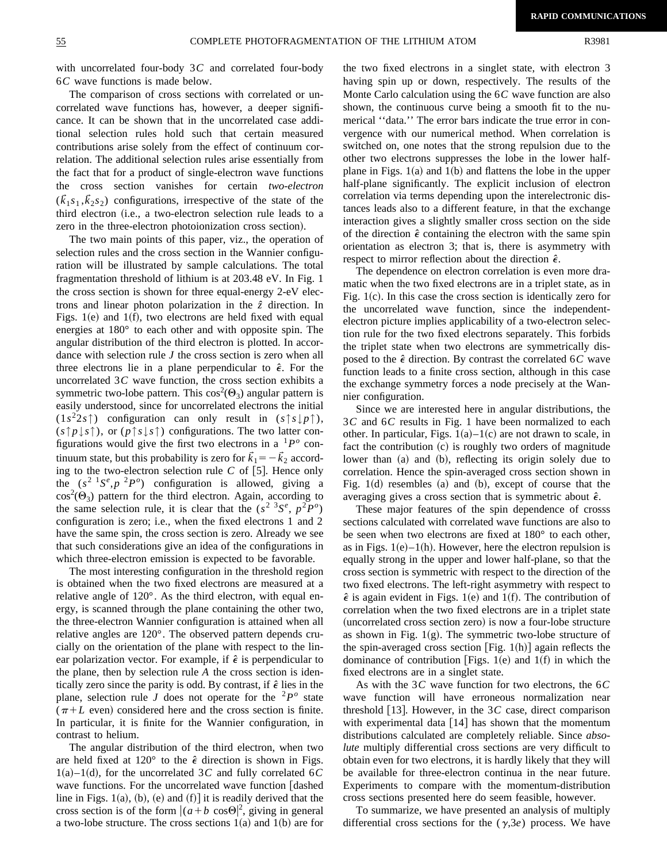with uncorrelated four-body 3*C* and correlated four-body 6*C* wave functions is made below.

The comparison of cross sections with correlated or uncorrelated wave functions has, however, a deeper significance. It can be shown that in the uncorrelated case additional selection rules hold such that certain measured contributions arise solely from the effect of continuum correlation. The additional selection rules arise essentially from the fact that for a product of single-electron wave functions the cross section vanishes for certain *two-electron*  $(\bar{k}_1 s_1, \bar{k}_2 s_2)$  configurations, irrespective of the state of the third electron (i.e., a two-electron selection rule leads to a zero in the three-electron photoionization cross section).

The two main points of this paper, viz., the operation of selection rules and the cross section in the Wannier configuration will be illustrated by sample calculations. The total fragmentation threshold of lithium is at 203.48 eV. In Fig. 1 the cross section is shown for three equal-energy 2-eV electrons and linear photon polarization in the *zˆ* direction. In Figs.  $1(e)$  and  $1(f)$ , two electrons are held fixed with equal energies at 180° to each other and with opposite spin. The angular distribution of the third electron is plotted. In accordance with selection rule *J* the cross section is zero when all three electrons lie in a plane perpendicular to  $\hat{\epsilon}$ . For the uncorrelated 3*C* wave function, the cross section exhibits a symmetric two-lobe pattern. This  $\cos^2(\Theta_3)$  angular pattern is easily understood, since for uncorrelated electrons the initial  $(1s^2 2s)$  configuration can only result in  $(s \uparrow s \downarrow p \uparrow)$ ,  $(s \uparrow p \downarrow s \uparrow)$ , or  $(p \uparrow s \downarrow s \uparrow)$  configurations. The two latter configurations would give the first two electrons in a  ${}^{1}P^{\circ}$  continuum state, but this probability is zero for  $\vec{k}_1 = -\vec{k}_2$  according to the two-electron selection rule  $C$  of  $[5]$ . Hence only the  $(s^2 {}^{1}S^e, p^2 P^o)$  configuration is allowed, giving a  $cos<sup>2</sup>(\Theta_3)$  pattern for the third electron. Again, according to the same selection rule, it is clear that the  $(s^2 \, 3S^e, p^2P^o)$ configuration is zero; i.e., when the fixed electrons 1 and 2 have the same spin, the cross section is zero. Already we see that such considerations give an idea of the configurations in which three-electron emission is expected to be favorable.

The most interesting configuration in the threshold region is obtained when the two fixed electrons are measured at a relative angle of 120°. As the third electron, with equal energy, is scanned through the plane containing the other two, the three-electron Wannier configuration is attained when all relative angles are 120°. The observed pattern depends crucially on the orientation of the plane with respect to the linear polarization vector. For example, if  $\hat{\epsilon}$  is perpendicular to the plane, then by selection rule *A* the cross section is identically zero since the parity is odd. By contrast, if  $\hat{\epsilon}$  lies in the plane, selection rule *J* does not operate for the  ${}^{2}P^{o}$  state  $(\pi + L$  even) considered here and the cross section is finite. In particular, it is finite for the Wannier configuration, in contrast to helium.

The angular distribution of the third electron, when two are held fixed at  $120^{\circ}$  to the  $\hat{\epsilon}$  direction is shown in Figs.  $1(a)$ –1(d), for the uncorrelated 3*C* and fully correlated 6*C* wave functions. For the uncorrelated wave function  $\lceil$  dashed line in Figs. 1(a), (b), (e) and  $(f)$ ] it is readily derived that the cross section is of the form  $|(a+b \cos\Theta)|^2$ , giving in general a two-lobe structure. The cross sections  $1(a)$  and  $1(b)$  are for the two fixed electrons in a singlet state, with electron 3 having spin up or down, respectively. The results of the Monte Carlo calculation using the 6*C* wave function are also shown, the continuous curve being a smooth fit to the numerical ''data.'' The error bars indicate the true error in convergence with our numerical method. When correlation is switched on, one notes that the strong repulsion due to the other two electrons suppresses the lobe in the lower halfplane in Figs.  $1(a)$  and  $1(b)$  and flattens the lobe in the upper half-plane significantly. The explicit inclusion of electron correlation via terms depending upon the interelectronic distances leads also to a different feature, in that the exchange interaction gives a slightly smaller cross section on the side of the direction  $\hat{\epsilon}$  containing the electron with the same spin orientation as electron 3; that is, there is asymmetry with respect to mirror reflection about the direction  $\hat{\epsilon}$ .

The dependence on electron correlation is even more dramatic when the two fixed electrons are in a triplet state, as in Fig.  $1(c)$ . In this case the cross section is identically zero for the uncorrelated wave function, since the independentelectron picture implies applicability of a two-electron selection rule for the two fixed electrons separately. This forbids the triplet state when two electrons are symmetrically disposed to the  $\hat{\epsilon}$  direction. By contrast the correlated 6*C* wave function leads to a finite cross section, although in this case the exchange symmetry forces a node precisely at the Wannier configuration.

Since we are interested here in angular distributions, the 3*C* and 6*C* results in Fig. 1 have been normalized to each other. In particular, Figs.  $1(a) - 1(c)$  are not drawn to scale, in fact the contribution  $(c)$  is roughly two orders of magnitude lower than (a) and (b), reflecting its origin solely due to correlation. Hence the spin-averaged cross section shown in Fig.  $1(d)$  resembles  $(a)$  and  $(b)$ , except of course that the averaging gives a cross section that is symmetric about  $\hat{\epsilon}$ .

These major features of the spin dependence of crosss sections calculated with correlated wave functions are also to be seen when two electrons are fixed at 180° to each other, as in Figs.  $1(e)$ –1(h). However, here the electron repulsion is equally strong in the upper and lower half-plane, so that the cross section is symmetric with respect to the direction of the two fixed electrons. The left-right asymmetry with respect to  $\hat{\epsilon}$  is again evident in Figs. 1(e) and 1(f). The contribution of correlation when the two fixed electrons are in a triplet state (uncorrelated cross section zero) is now a four-lobe structure as shown in Fig.  $1(g)$ . The symmetric two-lobe structure of the spin-averaged cross section [Fig. 1(h)] again reflects the dominance of contribution [Figs. 1(e) and 1(f) in which the fixed electrons are in a singlet state.

As with the 3*C* wave function for two electrons, the 6*C* wave function will have erroneous normalization near threshold  $[13]$ . However, in the 3*C* case, direct comparison with experimental data  $[14]$  has shown that the momentum distributions calculated are completely reliable. Since *absolute* multiply differential cross sections are very difficult to obtain even for two electrons, it is hardly likely that they will be available for three-electron continua in the near future. Experiments to compare with the momentum-distribution cross sections presented here do seem feasible, however.

To summarize, we have presented an analysis of multiply differential cross sections for the  $(\gamma,3e)$  process. We have